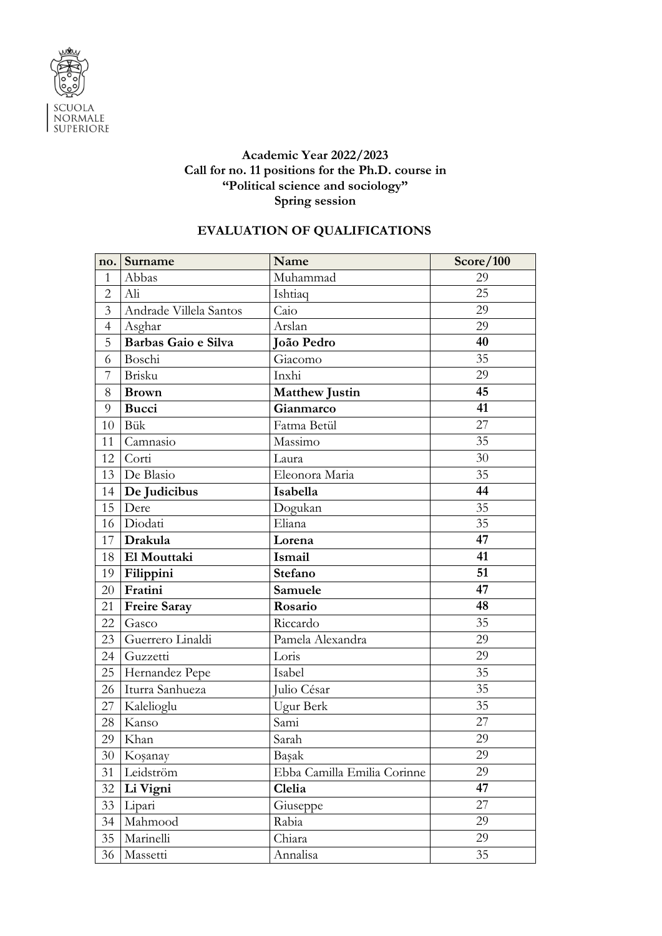

## **Academic Year 2022/2023 Call for no. 11 positions for the Ph.D. course in "Political science and sociology" Spring session**

## **EVALUATION OF QUALIFICATIONS**

| no.            | Surname                | Name                        | Score/100       |
|----------------|------------------------|-----------------------------|-----------------|
| $\mathbf{1}$   | Abbas                  | Muhammad                    | 29              |
| $\overline{2}$ | Ali                    | Ishtiaq                     | 25              |
| $\overline{3}$ | Andrade Villela Santos | Caio                        | 29              |
| $\overline{4}$ | Asghar                 | Arslan                      | 29              |
| 5              | Barbas Gaio e Silva    | João Pedro                  | 40              |
| 6              | Boschi                 | Giacomo                     | 35              |
| 7              | Brisku                 | Inxhi                       | 29              |
| 8              | <b>Brown</b>           | <b>Matthew Justin</b>       | 45              |
| 9              | <b>Bucci</b>           | Gianmarco                   | 41              |
| 10             | Bük                    | Fatma Betül                 | 27              |
| 11             | Camnasio               | Massimo                     | 35              |
| 12             | Corti                  | Laura                       | 30              |
| 13             | De Blasio              | Eleonora Maria              | 35              |
| 14             | De Judicibus           | Isabella                    | 44              |
| 15             | Dere                   | Dogukan                     | 35              |
| 16             | Diodati                | Eliana                      | $\overline{35}$ |
| 17             | Drakula                | Lorena                      | 47              |
| 18             | El Mouttaki            | Ismail                      | 41              |
| 19             | Filippini              | Stefano                     | 51              |
| 20             | Fratini                | Samuele                     | 47              |
| 21             | <b>Freire Saray</b>    | Rosario                     | 48              |
| 22             | Gasco                  | Riccardo                    | 35              |
| 23             | Guerrero Linaldi       | Pamela Alexandra            | 29              |
| 24             | Guzzetti               | Loris                       | 29              |
| 25             | Hernandez Pepe         | Isabel                      | 35              |
| 26             | Iturra Sanhueza        | Julio César                 | 35              |
| 27             | Kalelioglu             | Ugur Berk                   | $\overline{35}$ |
| 28             | Kanso                  | Sami                        | 27              |
| 29             | Khan                   | Sarah                       | 29              |
| 30             | Koşanay                | Başak                       | 29              |
| 31             | Leidström              | Ebba Camilla Emilia Corinne | 29              |
| 32             | Li Vigni               | Clelia                      | 47              |
| 33             | Lipari                 | Giuseppe                    | 27              |
| 34             | Mahmood                | Rabia                       | 29              |
| 35             | Marinelli              | Chiara                      | 29              |
| 36             | Massetti               | Annalisa                    | 35              |